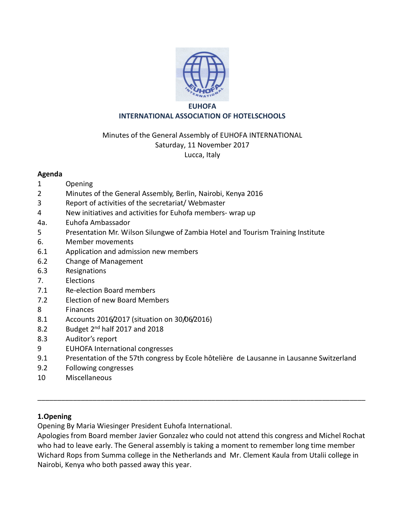

#### **EUHOFA INTERNATIONAL ASSOCIATION OF HOTELSCHOOLS**

### Minutes of the General Assembly of EUHOFA INTERNATIONAL Saturday, 11 November 2017 Lucca, Italy

#### **Agenda**

- 1 Opening
- 2 Minutes of the General Assembly, Berlin, Nairobi, Kenya 2016
- 3 Report of activities of the secretariat/ Webmaster
- 4 New initiatives and activities for Euhofa members- wrap up
- 4a. Euhofa Ambassador
- 5 Presentation Mr. Wilson Silungwe of Zambia Hotel and Tourism Training Institute
- 6. Member movements
- 6.1 Application and admission new members
- 6.2 Change of Management
- 6.3 Resignations
- 7. Elections
- 7.1 Re-election Board members
- 7.2 Election of new Board Members
- 8 Finances
- 8.1 Accounts 2016/2017 (situation on 30/06/2016)
- 8.2 Budget  $2^{nd}$  half 2017 and 2018
- 8.3 Auditor's report
- 9 EUHOFA International congresses
- 9.1 Presentation of the 57th congress by Ecole hôtelière de Lausanne in Lausanne Switzerland
- 9.2 Following congresses
- 10 Miscellaneous

### **1.Opening**

Opening By Maria Wiesinger President Euhofa International.

Apologies from Board member Javier Gonzalez who could not attend this congress and Michel Rochat who had to leave early. The General assembly is taking a moment to remember long time member Wichard Rops from Summa college in the Netherlands and Mr. Clement Kaula from Utalii college in Nairobi, Kenya who both passed away this year.

\_\_\_\_\_\_\_\_\_\_\_\_\_\_\_\_\_\_\_\_\_\_\_\_\_\_\_\_\_\_\_\_\_\_\_\_\_\_\_\_\_\_\_\_\_\_\_\_\_\_\_\_\_\_\_\_\_\_\_\_\_\_\_\_\_\_\_\_\_\_\_\_\_\_\_\_\_\_\_\_\_\_\_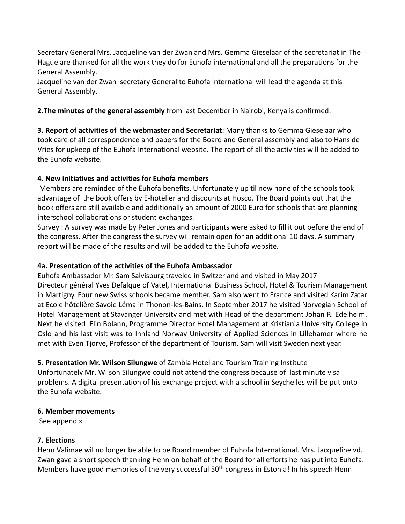Secretary General Mrs. Jacqueline van der Zwan and Mrs. Gemma Gieselaar of the secretariat in The Hague are thanked for all the work they do for Euhofa international and all the preparations for the General Assembly.

Jacqueline van der Zwan secretary General to Euhofa International will lead the agenda at this General Assembly.

**2.The minutes of the general assembly** from last December in Nairobi, Kenya is confirmed.

**3. Report of activities of the webmaster and Secretariat**: Many thanks to Gemma Gieselaar who took care of all correspondence and papers for the Board and General assembly and also to Hans de Vries for upkeep of the Euhofa International website. The report of all the activities will be added to the Euhofa website.

# **4. New initiatives and activities for Euhofa members**

Members are reminded of the Euhofa benefits. Unfortunately up til now none of the schools took advantage of the book offers by E-hotelier and discounts at Hosco. The Board points out that the book offers are still available and additionally an amount of 2000 Euro for schools that are planning interschool collaborations or student exchanges.

Survey : A survey was made by Peter Jones and participants were asked to fill it out before the end of the congress. After the congress the survey will remain open for an additional 10 days. A summary report will be made of the results and will be added to the Euhofa website.

## **4a. Presentation of the activities of the Euhofa Ambassador**

Euhofa Ambassador Mr. Sam Salvisburg traveled in Switzerland and visited in May 2017 Directeur général Yves Defalque of Vatel, International Business School, Hotel & Tourism Management in Martigny. Four new Swiss schools became member. Sam also went to France and visited Karim Zatar at Ecole hôtelière Savoie Léma in Thonon-les-Bains. In September 2017 he visited Norvegian School of Hotel Management at Stavanger University and met with Head of the department Johan R. Edelheim. Next he visited Elin Bolann, Programme Director Hotel Management at Kristiania University College in Oslo and his last visit was to Innland Norway University of Applied Sciences in Lillehamer where he met with Even Tjorve, Professor of the department of Tourism. Sam will visit Sweden next year.

### **5. Presentation Mr. Wilson Silungwe** of Zambia Hotel and Tourism Training Institute

Unfortunately Mr. Wilson Silungwe could not attend the congress because of last minute visa problems. A digital presentation of his exchange project with a school in Seychelles will be put onto the Euhofa website.

### **6. Member movements**

See appendix

# **7. Elections**

Henn Valimae wil no longer be able to be Board member of Euhofa International. Mrs. Jacqueline vd. Zwan gave a short speech thanking Henn on behalf of the Board for all efforts he has put into Euhofa. Members have good memories of the very successful 50<sup>th</sup> congress in Estonia! In his speech Henn